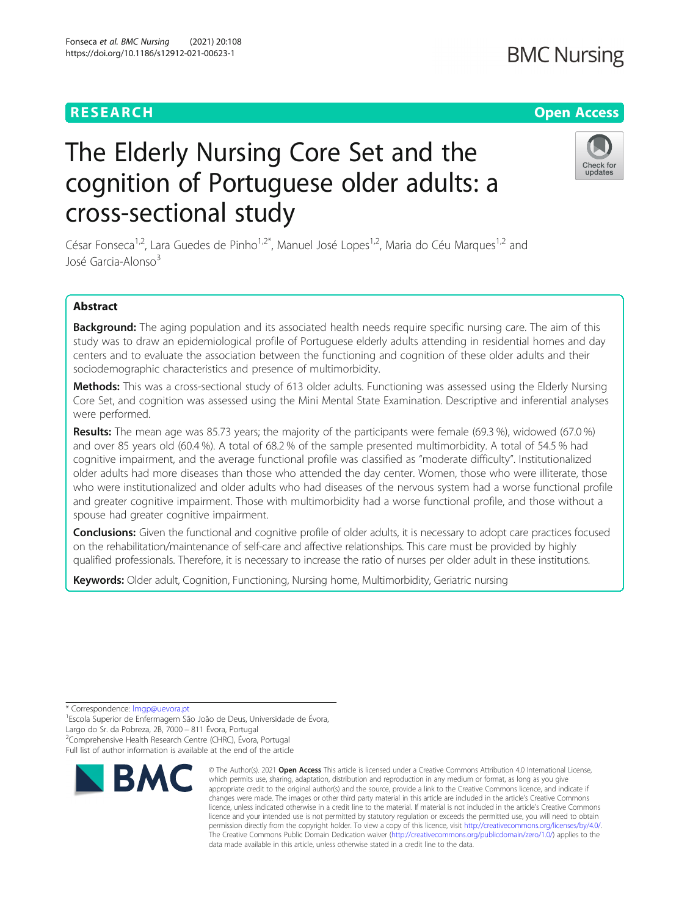Fonseca et al. BMC Nursing (2021) 20:108 https://doi.org/10.1186/s12912-021-00623-1

# The Elderly Nursing Core Set and the cognition of Portuguese older adults: a cross-sectional study

César Fonseca<sup>1,2</sup>, Lara Guedes de Pinho<sup>1,2\*</sup>, Manuel José Lopes<sup>1,2</sup>, Maria do Céu Marques<sup>1,2</sup> and José Garcia-Alonso<sup>3</sup>

# Abstract

Background: The aging population and its associated health needs require specific nursing care. The aim of this study was to draw an epidemiological profile of Portuguese elderly adults attending in residential homes and day centers and to evaluate the association between the functioning and cognition of these older adults and their sociodemographic characteristics and presence of multimorbidity.

Methods: This was a cross-sectional study of 613 older adults. Functioning was assessed using the Elderly Nursing Core Set, and cognition was assessed using the Mini Mental State Examination. Descriptive and inferential analyses were performed.

Results: The mean age was 85.73 years; the majority of the participants were female (69.3 %), widowed (67.0 %) and over 85 years old (60.4 %). A total of 68.2 % of the sample presented multimorbidity. A total of 54.5 % had cognitive impairment, and the average functional profile was classified as "moderate difficulty". Institutionalized older adults had more diseases than those who attended the day center. Women, those who were illiterate, those who were institutionalized and older adults who had diseases of the nervous system had a worse functional profile and greater cognitive impairment. Those with multimorbidity had a worse functional profile, and those without a spouse had greater cognitive impairment.

Conclusions: Given the functional and cognitive profile of older adults, it is necessary to adopt care practices focused on the rehabilitation/maintenance of self-care and affective relationships. This care must be provided by highly qualified professionals. Therefore, it is necessary to increase the ratio of nurses per older adult in these institutions.

Keywords: Older adult, Cognition, Functioning, Nursing home, Multimorbidity, Geriatric nursing

\* Correspondence: [lmgp@uevora.pt](mailto:lmgp@uevora.pt) <sup>1</sup>

<sup>2</sup>Comprehensive Health Research Centre (CHRC), Évora, Portugal

Full list of author information is available at the end of the article



<sup>©</sup> The Author(s), 2021 **Open Access** This article is licensed under a Creative Commons Attribution 4.0 International License, which permits use, sharing, adaptation, distribution and reproduction in any medium or format, as long as you give appropriate credit to the original author(s) and the source, provide a link to the Creative Commons licence, and indicate if changes were made. The images or other third party material in this article are included in the article's Creative Commons licence, unless indicated otherwise in a credit line to the material. If material is not included in the article's Creative Commons licence and your intended use is not permitted by statutory regulation or exceeds the permitted use, you will need to obtain permission directly from the copyright holder. To view a copy of this licence, visit [http://creativecommons.org/licenses/by/4.0/.](http://creativecommons.org/licenses/by/4.0/) The Creative Commons Public Domain Dedication waiver [\(http://creativecommons.org/publicdomain/zero/1.0/](http://creativecommons.org/publicdomain/zero/1.0/)) applies to the data made available in this article, unless otherwise stated in a credit line to the data.



<sup>&</sup>lt;sup>1</sup>Escola Superior de Enfermagem São João de Deus, Universidade de Évora, Largo do Sr. da Pobreza, 2B, 7000 − 811 Évora, Portugal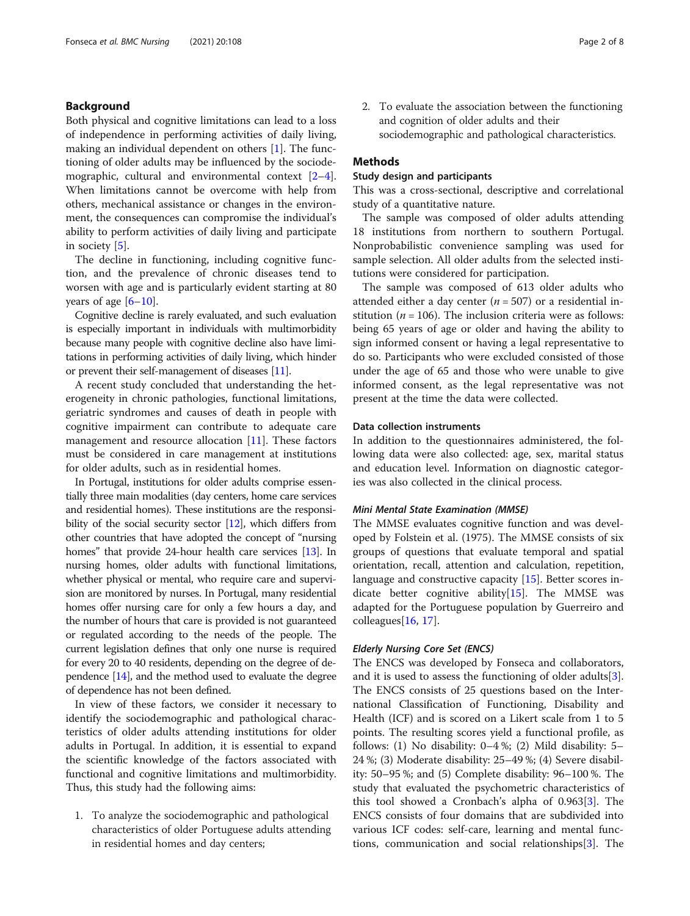# Background

Both physical and cognitive limitations can lead to a loss of independence in performing activities of daily living, making an individual dependent on others [[1\]](#page-6-0). The functioning of older adults may be influenced by the sociodemographic, cultural and environmental context [\[2](#page-6-0)–[4](#page-6-0)]. When limitations cannot be overcome with help from others, mechanical assistance or changes in the environment, the consequences can compromise the individual's ability to perform activities of daily living and participate in society [[5](#page-6-0)].

The decline in functioning, including cognitive function, and the prevalence of chronic diseases tend to worsen with age and is particularly evident starting at 80 years of age  $[6-10]$  $[6-10]$  $[6-10]$  $[6-10]$  $[6-10]$ .

Cognitive decline is rarely evaluated, and such evaluation is especially important in individuals with multimorbidity because many people with cognitive decline also have limitations in performing activities of daily living, which hinder or prevent their self-management of diseases [\[11](#page-6-0)].

A recent study concluded that understanding the heterogeneity in chronic pathologies, functional limitations, geriatric syndromes and causes of death in people with cognitive impairment can contribute to adequate care management and resource allocation [\[11](#page-6-0)]. These factors must be considered in care management at institutions for older adults, such as in residential homes.

In Portugal, institutions for older adults comprise essentially three main modalities (day centers, home care services and residential homes). These institutions are the responsi-bility of the social security sector [[12](#page-7-0)], which differs from other countries that have adopted the concept of "nursing homes" that provide 24-hour health care services [[13](#page-7-0)]. In nursing homes, older adults with functional limitations, whether physical or mental, who require care and supervision are monitored by nurses. In Portugal, many residential homes offer nursing care for only a few hours a day, and the number of hours that care is provided is not guaranteed or regulated according to the needs of the people. The current legislation defines that only one nurse is required for every 20 to 40 residents, depending on the degree of dependence [\[14](#page-7-0)], and the method used to evaluate the degree of dependence has not been defined.

In view of these factors, we consider it necessary to identify the sociodemographic and pathological characteristics of older adults attending institutions for older adults in Portugal. In addition, it is essential to expand the scientific knowledge of the factors associated with functional and cognitive limitations and multimorbidity. Thus, this study had the following aims:

1. To analyze the sociodemographic and pathological characteristics of older Portuguese adults attending in residential homes and day centers;

2. To evaluate the association between the functioning and cognition of older adults and their sociodemographic and pathological characteristics.

# **Methods**

# Study design and participants

This was a cross-sectional, descriptive and correlational study of a quantitative nature.

The sample was composed of older adults attending 18 institutions from northern to southern Portugal. Nonprobabilistic convenience sampling was used for sample selection. All older adults from the selected institutions were considered for participation.

The sample was composed of 613 older adults who attended either a day center ( $n = 507$ ) or a residential institution ( $n = 106$ ). The inclusion criteria were as follows: being 65 years of age or older and having the ability to sign informed consent or having a legal representative to do so. Participants who were excluded consisted of those under the age of 65 and those who were unable to give informed consent, as the legal representative was not present at the time the data were collected.

# Data collection instruments

In addition to the questionnaires administered, the following data were also collected: age, sex, marital status and education level. Information on diagnostic categories was also collected in the clinical process.

#### Mini Mental State Examination (MMSE)

The MMSE evaluates cognitive function and was developed by Folstein et al. (1975). The MMSE consists of six groups of questions that evaluate temporal and spatial orientation, recall, attention and calculation, repetition, language and constructive capacity [\[15](#page-7-0)]. Better scores indicate better cognitive ability[\[15](#page-7-0)]. The MMSE was adapted for the Portuguese population by Guerreiro and colleagues $[16, 17]$  $[16, 17]$  $[16, 17]$  $[16, 17]$  $[16, 17]$ .

# Elderly Nursing Core Set (ENCS)

The ENCS was developed by Fonseca and collaborators, and it is used to assess the functioning of older adults  $[3]$  $[3]$ . The ENCS consists of 25 questions based on the International Classification of Functioning, Disability and Health (ICF) and is scored on a Likert scale from 1 to 5 points. The resulting scores yield a functional profile, as follows: (1) No disability: 0–4 %; (2) Mild disability: 5– 24 %; (3) Moderate disability: 25–49 %; (4) Severe disability: 50–95 %; and (5) Complete disability: 96–100 %. The study that evaluated the psychometric characteristics of this tool showed a Cronbach's alpha of 0.963[[3\]](#page-6-0). The ENCS consists of four domains that are subdivided into various ICF codes: self-care, learning and mental functions, communication and social relationships[\[3](#page-6-0)]. The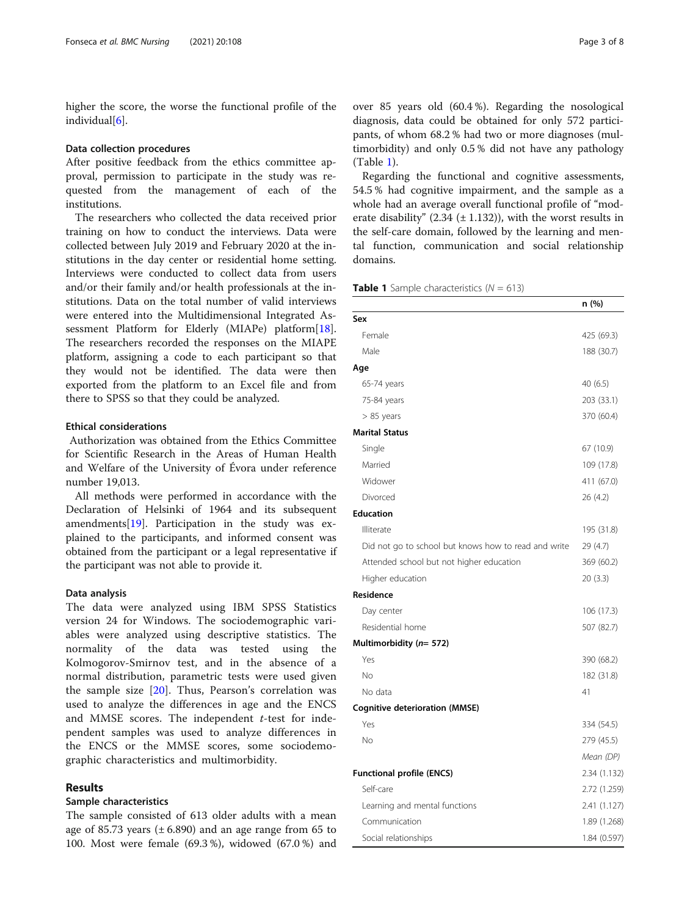higher the score, the worse the functional profile of the individual[\[6](#page-6-0)].

# Data collection procedures

After positive feedback from the ethics committee approval, permission to participate in the study was requested from the management of each of the institutions.

The researchers who collected the data received prior training on how to conduct the interviews. Data were collected between July 2019 and February 2020 at the institutions in the day center or residential home setting. Interviews were conducted to collect data from users and/or their family and/or health professionals at the institutions. Data on the total number of valid interviews were entered into the Multidimensional Integrated As-sessment Platform for Elderly (MIAPe) platform[\[18](#page-7-0)]. The researchers recorded the responses on the MIAPE platform, assigning a code to each participant so that they would not be identified. The data were then exported from the platform to an Excel file and from there to SPSS so that they could be analyzed.

# Ethical considerations

Authorization was obtained from the Ethics Committee for Scientific Research in the Areas of Human Health and Welfare of the University of Évora under reference number 19,013.

All methods were performed in accordance with the Declaration of Helsinki of 1964 and its subsequent amendments[\[19](#page-7-0)]. Participation in the study was explained to the participants, and informed consent was obtained from the participant or a legal representative if the participant was not able to provide it.

# Data analysis

The data were analyzed using IBM SPSS Statistics version 24 for Windows. The sociodemographic variables were analyzed using descriptive statistics. The normality of the data was tested using the Kolmogorov-Smirnov test, and in the absence of a normal distribution, parametric tests were used given the sample size [\[20](#page-7-0)]. Thus, Pearson's correlation was used to analyze the differences in age and the ENCS and MMSE scores. The independent  $t$ -test for independent samples was used to analyze differences in the ENCS or the MMSE scores, some sociodemographic characteristics and multimorbidity.

# Results

# Sample characteristics

The sample consisted of 613 older adults with a mean age of 85.73 years  $(\pm 6.890)$  and an age range from 65 to 100. Most were female (69.3 %), widowed (67.0 %) and

over 85 years old (60.4 %). Regarding the nosological diagnosis, data could be obtained for only 572 participants, of whom 68.2 % had two or more diagnoses (multimorbidity) and only 0.5 % did not have any pathology (Table 1).

Regarding the functional and cognitive assessments, 54.5 % had cognitive impairment, and the sample as a whole had an average overall functional profile of "moderate disability"  $(2.34 \pm 1.132)$ ), with the worst results in the self-care domain, followed by the learning and mental function, communication and social relationship domains.

**Table 1** Sample characteristics  $(N = 613)$ 

|                                                      | n (%)        |
|------------------------------------------------------|--------------|
| Sex                                                  |              |
| Female                                               | 425 (69.3)   |
| Male                                                 | 188 (30.7)   |
| Age                                                  |              |
| 65-74 years                                          | 40(6.5)      |
| 75-84 years                                          | 203 (33.1)   |
| $> 85$ years                                         | 370 (60.4)   |
| <b>Marital Status</b>                                |              |
| Single                                               | 67 (10.9)    |
| Married                                              | 109 (17.8)   |
| Widower                                              | 411 (67.0)   |
| Divorced                                             | 26 (4.2)     |
| <b>Education</b>                                     |              |
| Illiterate                                           | 195 (31.8)   |
| Did not go to school but knows how to read and write | 29 (4.7)     |
| Attended school but not higher education             | 369 (60.2)   |
| Higher education                                     | 20 (3.3)     |
| Residence                                            |              |
| Day center                                           | 106 (17.3)   |
| Residential home                                     | 507 (82.7)   |
| Multimorbidity ( $n=572$ )                           |              |
| Yes                                                  | 390 (68.2)   |
| No                                                   | 182 (31.8)   |
| No data                                              | 41           |
| <b>Cognitive deterioration (MMSE)</b>                |              |
| Yes                                                  | 334 (54.5)   |
| No                                                   | 279 (45.5)   |
|                                                      | Mean (DP)    |
| <b>Functional profile (ENCS)</b>                     | 2.34 (1.132) |
| Self-care                                            | 2.72 (1.259) |
| Learning and mental functions                        | 2.41 (1.127) |
| Communication                                        | 1.89 (1.268) |
| Social relationships                                 | 1.84 (0.597) |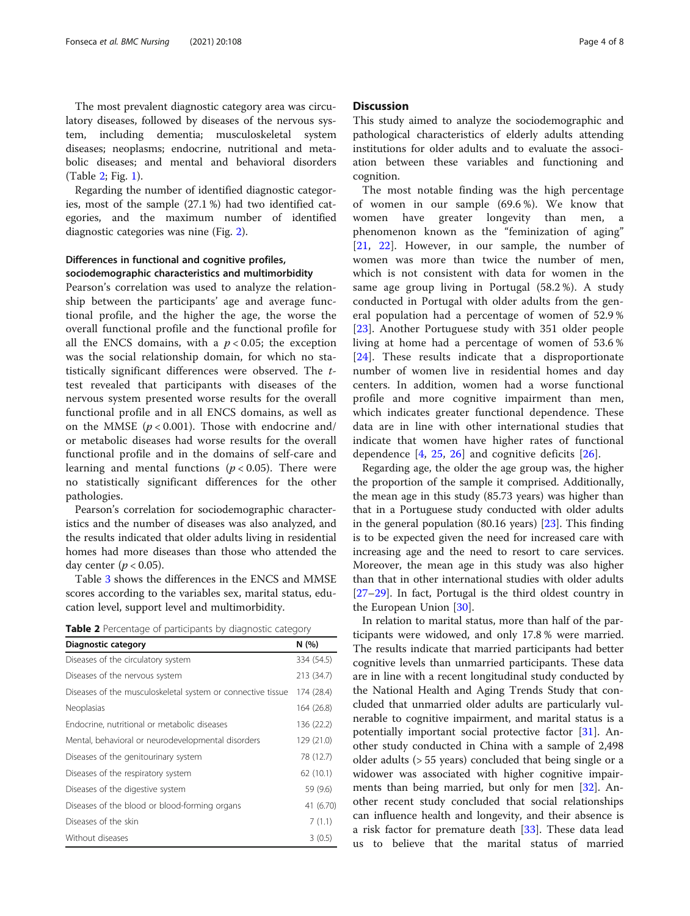The most prevalent diagnostic category area was circulatory diseases, followed by diseases of the nervous system, including dementia; musculoskeletal system diseases; neoplasms; endocrine, nutritional and metabolic diseases; and mental and behavioral disorders (Table 2; Fig. [1](#page-4-0)).

Regarding the number of identified diagnostic categories, most of the sample (27.1 %) had two identified categories, and the maximum number of identified diagnostic categories was nine (Fig. [2\)](#page-5-0).

# Differences in functional and cognitive profiles, sociodemographic characteristics and multimorbidity

Pearson's correlation was used to analyze the relationship between the participants' age and average functional profile, and the higher the age, the worse the overall functional profile and the functional profile for all the ENCS domains, with a  $p < 0.05$ ; the exception was the social relationship domain, for which no statistically significant differences were observed. The ttest revealed that participants with diseases of the nervous system presented worse results for the overall functional profile and in all ENCS domains, as well as on the MMSE ( $p < 0.001$ ). Those with endocrine and/ or metabolic diseases had worse results for the overall functional profile and in the domains of self-care and learning and mental functions ( $p < 0.05$ ). There were no statistically significant differences for the other pathologies.

Pearson's correlation for sociodemographic characteristics and the number of diseases was also analyzed, and the results indicated that older adults living in residential homes had more diseases than those who attended the day center ( $p < 0.05$ ).

Table [3](#page-6-0) shows the differences in the ENCS and MMSE scores according to the variables sex, marital status, education level, support level and multimorbidity.

Table 2 Percentage of participants by diagnostic category

| <b>Diagnostic category</b>                                  | N(%)       |
|-------------------------------------------------------------|------------|
| Diseases of the circulatory system                          | 334 (54.5) |
| Diseases of the nervous system                              | 213 (34.7) |
| Diseases of the musculoskeletal system or connective tissue | 174 (28.4) |
| Neoplasias                                                  | 164 (26.8) |
| Endocrine, nutritional or metabolic diseases                | 136 (22.2) |
| Mental, behavioral or neurodevelopmental disorders          | 129 (21.0) |
| Diseases of the genitourinary system                        | 78 (12.7)  |
| Diseases of the respiratory system                          | 62(10.1)   |
| Diseases of the digestive system                            | 59 (9.6)   |
| Diseases of the blood or blood-forming organs               | 41 (6.70)  |
| Diseases of the skin                                        | 7(1.1)     |
| Without diseases                                            | 3(0.5)     |

# **Discussion**

This study aimed to analyze the sociodemographic and pathological characteristics of elderly adults attending institutions for older adults and to evaluate the association between these variables and functioning and cognition.

The most notable finding was the high percentage of women in our sample (69.6 %). We know that women have greater longevity than men, phenomenon known as the "feminization of aging" [[21,](#page-7-0) [22](#page-7-0)]. However, in our sample, the number of women was more than twice the number of men, which is not consistent with data for women in the same age group living in Portugal (58.2 %). A study conducted in Portugal with older adults from the general population had a percentage of women of 52.9 % [[23\]](#page-7-0). Another Portuguese study with 351 older people living at home had a percentage of women of 53.6 % [[24\]](#page-7-0). These results indicate that a disproportionate number of women live in residential homes and day centers. In addition, women had a worse functional profile and more cognitive impairment than men, which indicates greater functional dependence. These data are in line with other international studies that indicate that women have higher rates of functional dependence  $[4, 25, 26]$  $[4, 25, 26]$  $[4, 25, 26]$  $[4, 25, 26]$  $[4, 25, 26]$  and cognitive deficits  $[26]$  $[26]$ .

Regarding age, the older the age group was, the higher the proportion of the sample it comprised. Additionally, the mean age in this study (85.73 years) was higher than that in a Portuguese study conducted with older adults in the general population (80.16 years) [\[23\]](#page-7-0). This finding is to be expected given the need for increased care with increasing age and the need to resort to care services. Moreover, the mean age in this study was also higher than that in other international studies with older adults [[27](#page-7-0)–[29](#page-7-0)]. In fact, Portugal is the third oldest country in the European Union [\[30](#page-7-0)].

In relation to marital status, more than half of the participants were widowed, and only 17.8 % were married. The results indicate that married participants had better cognitive levels than unmarried participants. These data are in line with a recent longitudinal study conducted by the National Health and Aging Trends Study that concluded that unmarried older adults are particularly vulnerable to cognitive impairment, and marital status is a potentially important social protective factor [[31\]](#page-7-0). Another study conducted in China with a sample of 2,498 older adults (> 55 years) concluded that being single or a widower was associated with higher cognitive impairments than being married, but only for men [\[32\]](#page-7-0). Another recent study concluded that social relationships can influence health and longevity, and their absence is a risk factor for premature death [[33](#page-7-0)]. These data lead us to believe that the marital status of married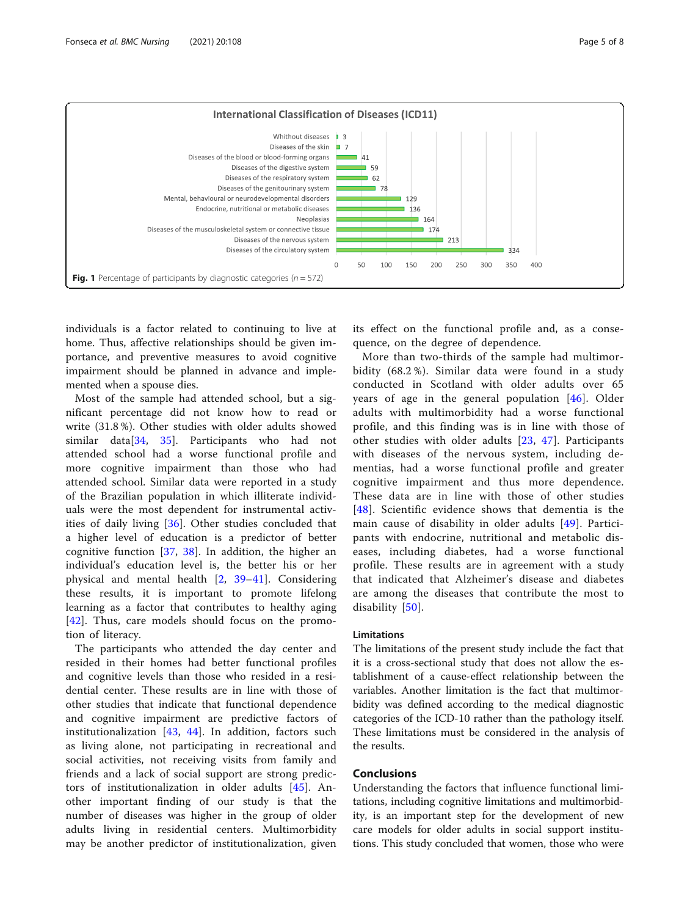<span id="page-4-0"></span>

individuals is a factor related to continuing to live at home. Thus, affective relationships should be given importance, and preventive measures to avoid cognitive impairment should be planned in advance and implemented when a spouse dies.

Most of the sample had attended school, but a significant percentage did not know how to read or write (31.8 %). Other studies with older adults showed similar data[[34,](#page-7-0) [35](#page-7-0)]. Participants who had not attended school had a worse functional profile and more cognitive impairment than those who had attended school. Similar data were reported in a study of the Brazilian population in which illiterate individuals were the most dependent for instrumental activities of daily living [[36\]](#page-7-0). Other studies concluded that a higher level of education is a predictor of better cognitive function [\[37](#page-7-0), [38\]](#page-7-0). In addition, the higher an individual's education level is, the better his or her physical and mental health [[2,](#page-6-0) [39](#page-7-0)–[41](#page-7-0)]. Considering these results, it is important to promote lifelong learning as a factor that contributes to healthy aging [[42\]](#page-7-0). Thus, care models should focus on the promotion of literacy.

The participants who attended the day center and resided in their homes had better functional profiles and cognitive levels than those who resided in a residential center. These results are in line with those of other studies that indicate that functional dependence and cognitive impairment are predictive factors of institutionalization [[43,](#page-7-0) [44](#page-7-0)]. In addition, factors such as living alone, not participating in recreational and social activities, not receiving visits from family and friends and a lack of social support are strong predictors of institutionalization in older adults [[45\]](#page-7-0). Another important finding of our study is that the number of diseases was higher in the group of older adults living in residential centers. Multimorbidity may be another predictor of institutionalization, given

its effect on the functional profile and, as a consequence, on the degree of dependence.

More than two-thirds of the sample had multimorbidity (68.2 %). Similar data were found in a study conducted in Scotland with older adults over 65 years of age in the general population [\[46\]](#page-7-0). Older adults with multimorbidity had a worse functional profile, and this finding was is in line with those of other studies with older adults [\[23](#page-7-0), [47\]](#page-7-0). Participants with diseases of the nervous system, including dementias, had a worse functional profile and greater cognitive impairment and thus more dependence. These data are in line with those of other studies [[48](#page-7-0)]. Scientific evidence shows that dementia is the main cause of disability in older adults [[49](#page-7-0)]. Participants with endocrine, nutritional and metabolic diseases, including diabetes, had a worse functional profile. These results are in agreement with a study that indicated that Alzheimer's disease and diabetes are among the diseases that contribute the most to disability [[50](#page-7-0)].

# Limitations

The limitations of the present study include the fact that it is a cross-sectional study that does not allow the establishment of a cause-effect relationship between the variables. Another limitation is the fact that multimorbidity was defined according to the medical diagnostic categories of the ICD-10 rather than the pathology itself. These limitations must be considered in the analysis of the results.

# Conclusions

Understanding the factors that influence functional limitations, including cognitive limitations and multimorbidity, is an important step for the development of new care models for older adults in social support institutions. This study concluded that women, those who were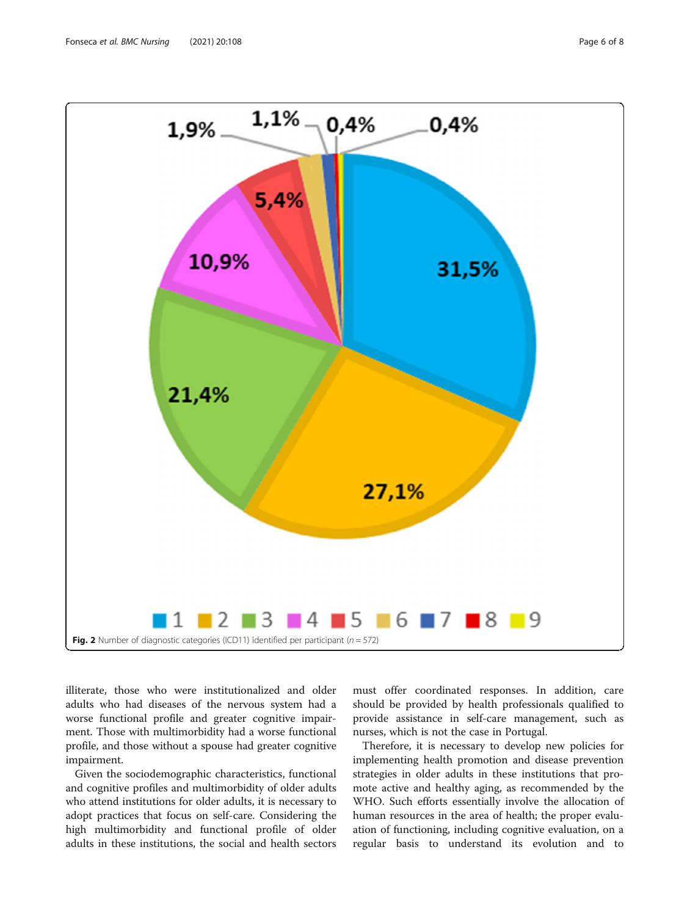<span id="page-5-0"></span>

illiterate, those who were institutionalized and older adults who had diseases of the nervous system had a worse functional profile and greater cognitive impairment. Those with multimorbidity had a worse functional profile, and those without a spouse had greater cognitive impairment.

Given the sociodemographic characteristics, functional and cognitive profiles and multimorbidity of older adults who attend institutions for older adults, it is necessary to adopt practices that focus on self-care. Considering the high multimorbidity and functional profile of older adults in these institutions, the social and health sectors

must offer coordinated responses. In addition, care should be provided by health professionals qualified to provide assistance in self-care management, such as nurses, which is not the case in Portugal.

Therefore, it is necessary to develop new policies for implementing health promotion and disease prevention strategies in older adults in these institutions that promote active and healthy aging, as recommended by the WHO. Such efforts essentially involve the allocation of human resources in the area of health; the proper evaluation of functioning, including cognitive evaluation, on a regular basis to understand its evolution and to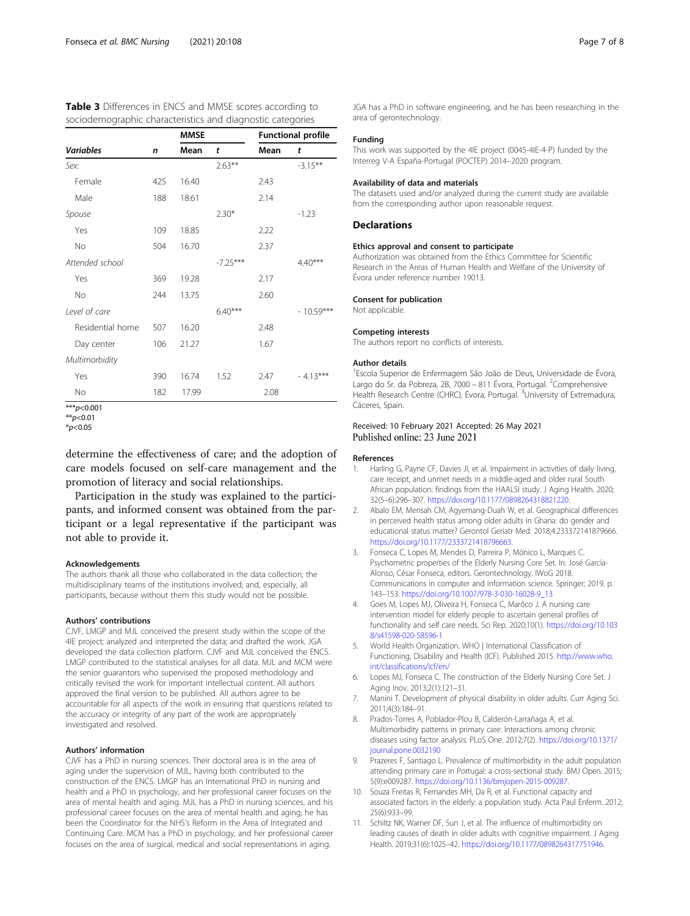<span id="page-6-0"></span>

| <b>Table 3</b> Differences in ENCS and MMSE scores according to |  |
|-----------------------------------------------------------------|--|
| sociodemographic characteristics and diagnostic categories      |  |

|                  |     | <b>MMSE</b> |            | <b>Functional profile</b> |             |
|------------------|-----|-------------|------------|---------------------------|-------------|
| <b>Variables</b> | n   | Mean        | t          | Mean                      | t           |
| Sex:             |     |             | $2.63***$  |                           | $-3.15***$  |
| Female           | 425 | 16.40       |            | 2.43                      |             |
| Male             | 188 | 18.61       |            | 2.14                      |             |
| Spouse           |     |             | $2.30*$    |                           | $-1.23$     |
| Yes              | 109 | 18.85       |            | 2.22                      |             |
| <b>No</b>        | 504 | 16.70       |            | 2.37                      |             |
| Attended school  |     |             | $-7.25***$ |                           | $4.40***$   |
| Yes              | 369 | 19.28       |            | 2.17                      |             |
| <b>No</b>        | 244 | 13.75       |            | 2.60                      |             |
| Level of care    |     |             | $6.40***$  |                           | $-10.59***$ |
| Residential home | 507 | 16.20       |            | 2.48                      |             |
| Day center       | 106 | 21.27       |            | 1.67                      |             |
| Multimorbidity   |     |             |            |                           |             |
| Yes              | 390 | 16.74       | 1.52       | 2.47                      | $-4.13***$  |
| <b>No</b>        | 182 | 17.99       |            | 2.08                      |             |

 $***n<0.001$ 

determine the effectiveness of care; and the adoption of care models focused on self-care management and the promotion of literacy and social relationships.

Participation in the study was explained to the participants, and informed consent was obtained from the participant or a legal representative if the participant was not able to provide it.

#### Acknowledgements

The authors thank all those who collaborated in the data collection; the multidisciplinary teams of the institutions involved; and, especially, all participants, because without them this study would not be possible.

#### Authors' contributions

CJVF, LMGP and MJL conceived the present study within the scope of the 4IE project; analyzed and interpreted the data; and drafted the work. JGA developed the data collection platform. CJVF and MJL conceived the ENCS. LMGP contributed to the statistical analyses for all data. MJL and MCM were the senior guarantors who supervised the proposed methodology and critically revised the work for important intellectual content. All authors approved the final version to be published. All authors agree to be accountable for all aspects of the work in ensuring that questions related to the accuracy or integrity of any part of the work are appropriately investigated and resolved.

#### Authors' information

CJVF has a PhD in nursing sciences. Their doctoral area is in the area of aging under the supervision of MJL, having both contributed to the construction of the ENCS. LMGP has an International PhD in nursing and health and a PhD in psychology, and her professional career focuses on the area of mental health and aging. MJL has a PhD in nursing sciences, and his professional career focuses on the area of mental health and aging; he has been the Coordinator for the NHS's Reform in the Area of Integrated and Continuing Care. MCM has a PhD in psychology, and her professional career focuses on the area of surgical, medical and social representations in aging.

JGA has a PhD in software engineering, and he has been researching in the area of gerontechnology.

# Funding

This work was supported by the 4IE project (0045-4IE-4-P) funded by the Interreg V-A España-Portugal (POCTEP) 2014–2020 program.

# Availability of data and materials

The datasets used and/or analyzed during the current study are available from the corresponding author upon reasonable request.

#### **Declarations**

#### Ethics approval and consent to participate

Authorization was obtained from the Ethics Committee for Scientific Research in the Areas of Human Health and Welfare of the University of Évora under reference number 19013.

#### Consent for publication

Not applicable.

#### Competing interests

The authors report no conflicts of interests.

#### Author details

1 Escola Superior de Enfermagem São João de Deus, Universidade de Évora, Largo do Sr. da Pobreza, 2B, 7000 – 811 Évora, Portugal. <sup>2</sup>Comprehensive Health Research Centre (CHRC), Évora, Portugal. <sup>3</sup>University of Extremadura Cáceres, Spain.

# Received: 10 February 2021 Accepted: 26 May 2021 Published online: 23 June 2021

#### References

- 1. Harling G, Payne CF, Davies JI, et al. Impairment in activities of daily living, care receipt, and unmet needs in a middle-aged and older rural South African population: findings from the HAALSI study. J Aging Health. 2020; 32(5–6):296–307. <https://doi.org/10.1177/0898264318821220>.
- 2. Abalo EM, Mensah CM, Agyemang-Duah W, et al. Geographical differences in perceived health status among older adults in Ghana: do gender and educational status matter? Gerontol Geriatr Med. 2018;4:233372141879666. [https://doi.org/10.1177/2333721418796663.](https://doi.org/10.1177/2333721418796663)
- 3. Fonseca C, Lopes M, Mendes D, Parreira P, Mónico L, Marques C. Psychometric properties of the Elderly Nursing Core Set. In: José García-Alonso, César Fonseca, editors. Gerontechnology. IWoG 2018. Communications in computer and information science. Springer; 2019. p. 143–153. [https://doi.org/10.1007/978-3-030-16028-9\\_13](https://doi.org/10.1007/978-3-030-16028-9_13)
- Goes M, Lopes MJ, Oliveira H, Fonseca C, Marôco J. A nursing care intervention model for elderly people to ascertain general profiles of functionality and self care needs. Sci Rep. 2020;10(1). [https://doi.org/10.103](https://doi.org/10.1038/s41598-020-58596-1) [8/s41598-020-58596-1](https://doi.org/10.1038/s41598-020-58596-1)
- 5. World Health Organization. WHO | International Classification of Functioning, Disability and Health (ICF). Published 2015. [http://www.who.](http://www.who.int/classifications/icf/en/) [int/classifications/icf/en/](http://www.who.int/classifications/icf/en/)
- 6. Lopes MJ, Fonseca C. The construction of the Elderly Nursing Core Set. J Aging Inov. 2013;2(1):121–31.
- 7. Manini T. Development of physical disability in older adults. Curr Aging Sci. 2011;4(3):184–91.
- 8. Prados-Torres A, Poblador-Plou B, Calderón-Larrañaga A, et al. Multimorbidity patterns in primary care: Interactions among chronic diseases using factor analysis. PLoS One. 2012;7(2). [https://doi.org/10.1371/](https://doi.org/10.1371/journal.pone.0032190) [journal.pone.0032190](https://doi.org/10.1371/journal.pone.0032190)
- 9. Prazeres F, Santiago L. Prevalence of multimorbidity in the adult population attending primary care in Portugal: a cross-sectional study. BMJ Open. 2015; 5(9):e009287. <https://doi.org/10.1136/bmjopen-2015-009287>.
- 10. Souza Freitas R, Fernandes MH, Da R, et al. Functional capacity and associated factors in the elderly: a population study. Acta Paul Enferm. 2012; 25(6):933–99.
- 11. Schiltz NK, Warner DF, Sun J, et al. The influence of multimorbidity on leading causes of death in older adults with cognitive impairment. J Aging Health. 2019;31(6):1025–42. [https://doi.org/10.1177/0898264317751946.](https://doi.org/10.1177/0898264317751946)

 $*p$ <0.01  $*_{p<0.05}$